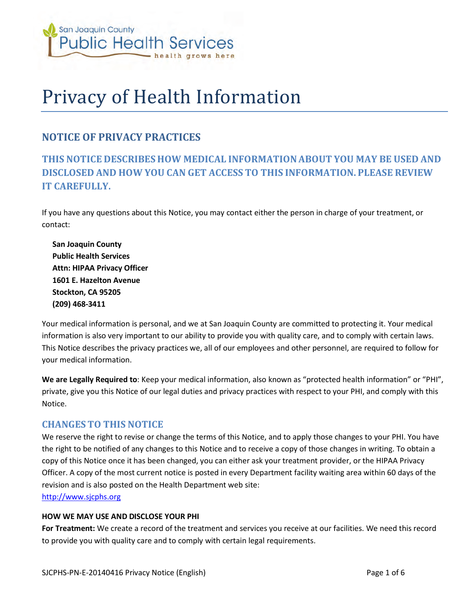

# Privacy of Health Information

# **NOTICE OF PRIVACY PRACTICES**

# **THIS NOTICE DESCRIBES HOW MEDICAL INFORMATION ABOUT YOU MAY BE USED AND DISCLOSED AND HOW YOU CAN GET ACCESS TO THIS INFORMATION. PLEASE REVIEW IT CAREFULLY.**

If you have any questions about this Notice, you may contact either the person in charge of your treatment, or contact:

**San Joaquin County Public Health Services Attn: HIPAA Privacy Officer 1601 E. Hazelton Avenue Stockton, CA 95205 (209) 468-3411**

Your medical information is personal, and we at San Joaquin County are committed to protecting it. Your medical information is also very important to our ability to provide you with quality care, and to comply with certain laws. This Notice describes the privacy practices we, all of our employees and other personnel, are required to follow for your medical information.

**We are Legally Required to**: Keep your medical information, also known as "protected health information" or "PHI", private, give you this Notice of our legal duties and privacy practices with respect to your PHI, and comply with this Notice.

#### **CHANGES TO THIS NOTICE**

We reserve the right to revise or change the terms of this Notice, and to apply those changes to your PHI. You have the right to be notified of any changes to this Notice and to receive a copy of those changes in writing. To obtain a copy of this Notice once it has been changed, you can either ask your treatment provider, or the HIPAA Privacy Officer. A copy of the most current notice is posted in every Department facility waiting area within 60 days of the revision and is also posted on the Health Department web site:

[http://www.sjcphs.org](http://www.sjcphs.org/)

#### **HOW WE MAY USE AND DISCLOSE YOUR PHI**

**For Treatment:** We create a record of the treatment and services you receive at our facilities. We need this record to provide you with quality care and to comply with certain legal requirements.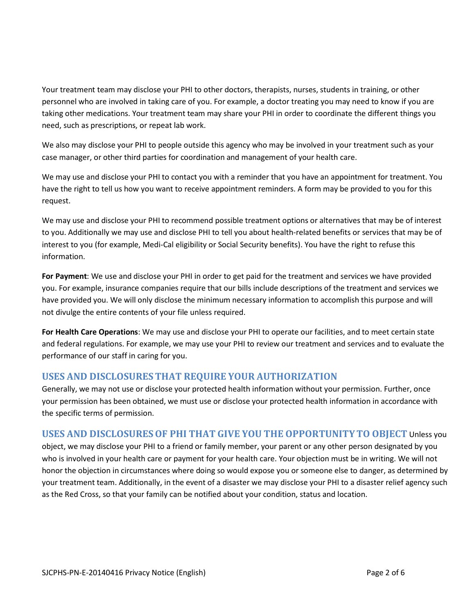Your treatment team may disclose your PHI to other doctors, therapists, nurses, students in training, or other personnel who are involved in taking care of you. For example, a doctor treating you may need to know if you are taking other medications. Your treatment team may share your PHI in order to coordinate the different things you need, such as prescriptions, or repeat lab work.

We also may disclose your PHI to people outside this agency who may be involved in your treatment such as your case manager, or other third parties for coordination and management of your health care.

We may use and disclose your PHI to contact you with a reminder that you have an appointment for treatment. You have the right to tell us how you want to receive appointment reminders. A form may be provided to you for this request.

We may use and disclose your PHI to recommend possible treatment options or alternatives that may be of interest to you. Additionally we may use and disclose PHI to tell you about health-related benefits or services that may be of interest to you (for example, Medi-Cal eligibility or Social Security benefits). You have the right to refuse this information.

**For Payment**: We use and disclose your PHI in order to get paid for the treatment and services we have provided you. For example, insurance companies require that our bills include descriptions of the treatment and services we have provided you. We will only disclose the minimum necessary information to accomplish this purpose and will not divulge the entire contents of your file unless required.

**For Health Care Operations**: We may use and disclose your PHI to operate our facilities, and to meet certain state and federal regulations. For example, we may use your PHI to review our treatment and services and to evaluate the performance of our staff in caring for you.

# **USES AND DISCLOSURES THAT REQUIRE YOUR AUTHORIZATION**

Generally, we may not use or disclose your protected health information without your permission. Further, once your permission has been obtained, we must use or disclose your protected health information in accordance with the specific terms of permission.

#### **USES AND DISCLOSURES OF PHI THAT GIVE YOU THE OPPORTUNITY TO OBJECT** Unless you

object, we may disclose your PHI to a friend or family member, your parent or any other person designated by you who is involved in your health care or payment for your health care. Your objection must be in writing. We will not honor the objection in circumstances where doing so would expose you or someone else to danger, as determined by your treatment team. Additionally, in the event of a disaster we may disclose your PHI to a disaster relief agency such as the Red Cross, so that your family can be notified about your condition, status and location.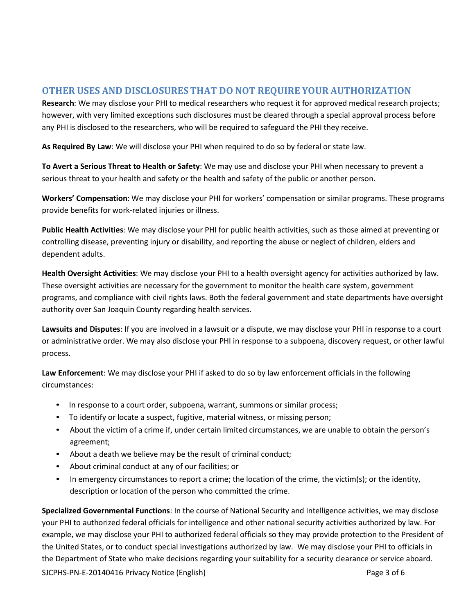### **OTHER USES AND DISCLOSURES THAT DO NOT REQUIRE YOUR AUTHORIZATION**

**Research**: We may disclose your PHI to medical researchers who request it for approved medical research projects; however, with very limited exceptions such disclosures must be cleared through a special approval process before any PHI is disclosed to the researchers, who will be required to safeguard the PHI they receive.

**As Required By Law**: We will disclose your PHI when required to do so by federal or state law.

**To Avert a Serious Threat to Health or Safety**: We may use and disclose your PHI when necessary to prevent a serious threat to your health and safety or the health and safety of the public or another person.

**Workers' Compensation**: We may disclose your PHI for workers' compensation or similar programs. These programs provide benefits for work-related injuries or illness.

**Public Health Activities**: We may disclose your PHI for public health activities, such as those aimed at preventing or controlling disease, preventing injury or disability, and reporting the abuse or neglect of children, elders and dependent adults.

**Health Oversight Activities**: We may disclose your PHI to a health oversight agency for activities authorized by law. These oversight activities are necessary for the government to monitor the health care system, government programs, and compliance with civil rights laws. Both the federal government and state departments have oversight authority over San Joaquin County regarding health services.

**Lawsuits and Disputes**: If you are involved in a lawsuit or a dispute, we may disclose your PHI in response to a court or administrative order. We may also disclose your PHI in response to a subpoena, discovery request, or other lawful process.

**Law Enforcement**: We may disclose your PHI if asked to do so by law enforcement officials in the following circumstances:

- In response to a court order, subpoena, warrant, summons or similar process;
- To identify or locate a suspect, fugitive, material witness, or missing person;
- About the victim of a crime if, under certain limited circumstances, we are unable to obtain the person's agreement;
- About a death we believe may be the result of criminal conduct;
- About criminal conduct at any of our facilities; or
- In emergency circumstances to report a crime; the location of the crime, the victim(s); or the identity, description or location of the person who committed the crime.

SJCPHS-PN-E-20140416 Privacy Notice (English) Page 3 of 6 **Specialized Governmental Functions**: In the course of National Security and Intelligence activities, we may disclose your PHI to authorized federal officials for intelligence and other national security activities authorized by law. For example, we may disclose your PHI to authorized federal officials so they may provide protection to the President of the United States, or to conduct special investigations authorized by law. We may disclose your PHI to officials in the Department of State who make decisions regarding your suitability for a security clearance or service aboard.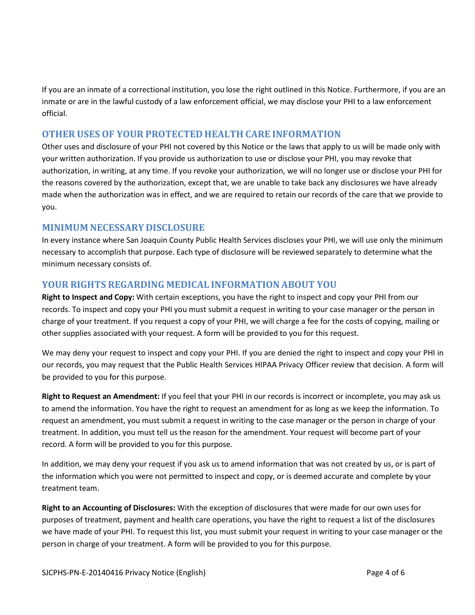If you are an inmate of a correctional institution, you lose the right outlined in this Notice. Furthermore, if you are an inmate or are in the lawful custody of a law enforcement official, we may disclose your PHI to a law enforcement official.

# **OTHER USES OF YOUR PROTECTED HEALTH CARE INFORMATION**

Other uses and disclosure of your PHI not covered by this Notice or the laws that apply to us will be made only with your written authorization. If you provide us authorization to use or disclose your PHI, you may revoke that authorization, in writing, at any time. If you revoke your authorization, we will no longer use or disclose your PHI for the reasons covered by the authorization, except that, we are unable to take back any disclosures we have already made when the authorization was in effect, and we are required to retain our records of the care that we provide to you.

#### **MINIMUM NECESSARY DISCLOSURE**

In every instance where San Joaquin County Public Health Services discloses your PHI, we will use only the minimum necessary to accomplish that purpose. Each type of disclosure will be reviewed separately to determine what the minimum necessary consists of.

# **YOUR RIGHTS REGARDING MEDICAL INFORMATION ABOUT YOU**

**Right to Inspect and Copy:** With certain exceptions, you have the right to inspect and copy your PHI from our records. To inspect and copy your PHI you must submit a request in writing to your case manager or the person in charge of your treatment. If you request a copy of your PHI, we will charge a fee for the costs of copying, mailing or other supplies associated with your request. A form will be provided to you for this request.

We may deny your request to inspect and copy your PHI. If you are denied the right to inspect and copy your PHI in our records, you may request that the Public Health Services HIPAA Privacy Officer review that decision. A form will be provided to you for this purpose.

**Right to Request an Amendment:** If you feel that your PHI in our records is incorrect or incomplete, you may ask us to amend the information. You have the right to request an amendment for as long as we keep the information. To request an amendment, you must submit a request in writing to the case manager or the person in charge of your treatment. In addition, you must tell us the reason for the amendment. Your request will become part of your record. A form will be provided to you for this purpose.

In addition, we may deny your request if you ask us to amend information that was not created by us, or is part of the information which you were not permitted to inspect and copy, or is deemed accurate and complete by your treatment team.

**Right to an Accounting of Disclosures:** With the exception of disclosures that were made for our own uses for purposes of treatment, payment and health care operations, you have the right to request a list of the disclosures we have made of your PHI. To request this list, you must submit your request in writing to your case manager or the person in charge of your treatment. A form will be provided to you for this purpose.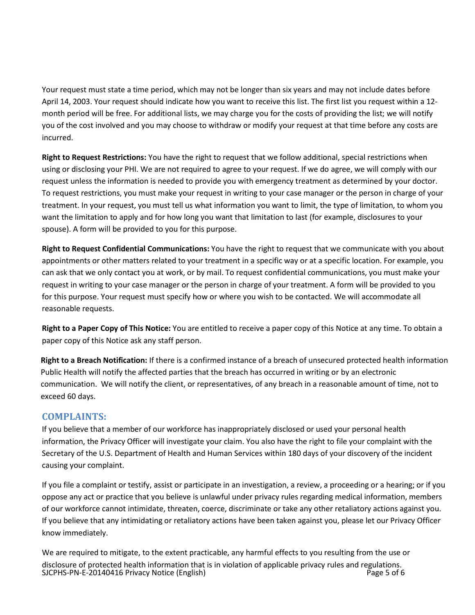Your request must state a time period, which may not be longer than six years and may not include dates before April 14, 2003. Your request should indicate how you want to receive this list. The first list you request within a 12 month period will be free. For additional lists, we may charge you for the costs of providing the list; we will notify you of the cost involved and you may choose to withdraw or modify your request at that time before any costs are incurred.

**Right to Request Restrictions:** You have the right to request that we follow additional, special restrictions when using or disclosing your PHI. We are not required to agree to your request. If we do agree, we will comply with our request unless the information is needed to provide you with emergency treatment as determined by your doctor. To request restrictions, you must make your request in writing to your case manager or the person in charge of your treatment. In your request, you must tell us what information you want to limit, the type of limitation, to whom you want the limitation to apply and for how long you want that limitation to last (for example, disclosures to your spouse). A form will be provided to you for this purpose.

**Right to Request Confidential Communications:** You have the right to request that we communicate with you about appointments or other matters related to your treatment in a specific way or at a specific location. For example, you can ask that we only contact you at work, or by mail. To request confidential communications, you must make your request in writing to your case manager or the person in charge of your treatment. A form will be provided to you for this purpose. Your request must specify how or where you wish to be contacted. We will accommodate all reasonable requests.

**Right to a Paper Copy of This Notice:** You are entitled to receive a paper copy of this Notice at any time. To obtain a paper copy of this Notice ask any staff person.

**Right to a Breach Notification:** If there is a confirmed instance of a breach of unsecured protected health information Public Health will notify the affected parties that the breach has occurred in writing or by an electronic communication. We will notify the client, or representatives, of any breach in a reasonable amount of time, not to exceed 60 days.

#### **COMPLAINTS:**

If you believe that a member of our workforce has inappropriately disclosed or used your personal health information, the Privacy Officer will investigate your claim. You also have the right to file your complaint with the Secretary of the U.S. Department of Health and Human Services within 180 days of your discovery of the incident causing your complaint.

If you file a complaint or testify, assist or participate in an investigation, a review, a proceeding or a hearing; or if you oppose any act or practice that you believe is unlawful under privacy rules regarding medical information, members of our workforce cannot intimidate, threaten, coerce, discriminate or take any other retaliatory actions against you. If you believe that any intimidating or retaliatory actions have been taken against you, please let our Privacy Officer know immediately.

SJCPHS-PN-E-20140416 Privacy Notice (English) CHENNIC CONTROLLEY Page 5 of 6 We are required to mitigate, to the extent practicable, any harmful effects to you resulting from the use or disclosure of protected health information that is in violation of applicable privacy rules and regulations.